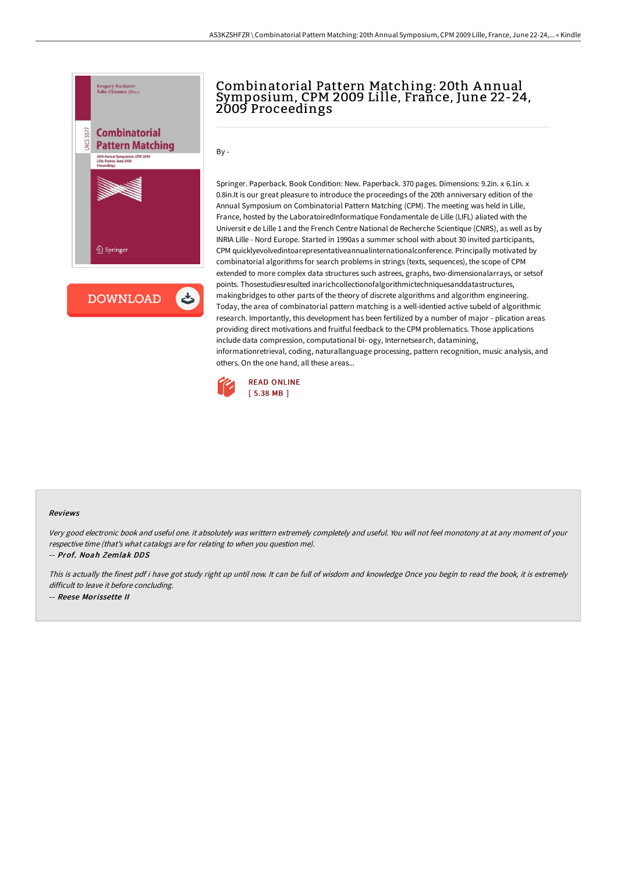

**DOWNLOAD** ٹ

## Combinatorial Pattern Matching: 20th A nnual Symposium, CPM 2009 Lille, France, June 22-24, 2009 Proceedings

 $Bv -$ 

Springer. Paperback. Book Condition: New. Paperback. 370 pages. Dimensions: 9.2in. x 6.1in. x 0.8in.It is our great pleasure to introduce the proceedings of the 20th anniversary edition of the Annual Symposium on Combinatorial Pattern Matching (CPM). The meeting was held in Lille, France, hosted by the LaboratoiredInformatique Fondamentale de Lille (LIFL) aliated with the Universit e de Lille 1 and the French Centre National de Recherche Scientique (CNRS), as well as by INRIA Lille - Nord Europe. Started in 1990as a summer school with about 30 invited participants, CPM quicklyevolvedintoarepresentativeannualinternationalconference. Principally motivated by combinatorial algorithms for search problems in strings (texts, sequences), the scope of CPM extended to more complex data structures such astrees, graphs, two-dimensionalarrays, or setsof points. Thosestudiesresulted inarichcollectionofalgorithmictechniquesanddatastructures, makingbridges to other parts of the theory of discrete algorithms and algorithm engineering. Today, the area of combinatorial pattern matching is a well-identied active subeld of algorithmic research. Importantly, this development has been fertilized by a number of major - plication areas providing direct motivations and fruitful feedback to the CPM problematics. Those applications include data compression, computational bi- ogy, Internetsearch, datamining, informationretrieval, coding, naturallanguage processing, pattern recognition, music analysis, and others. On the one hand, all these areas...



## Reviews

Very good electronic book and useful one. it absolutely was writtern extremely completely and useful. You will not feel monotony at at any moment of your respective time (that's what catalogs are for relating to when you question me).

-- Prof. Noah Zemlak DDS

This is actually the finest pdf i have got study right up until now. It can be full of wisdom and knowledge Once you begin to read the book, it is extremely difficult to leave it before concluding. -- Reese Morissette II